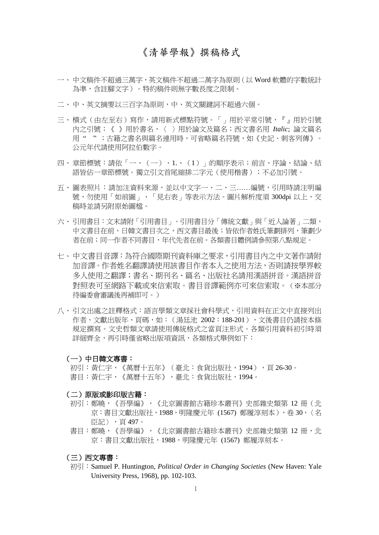# 《清華學報》撰稿格式

- 一、 中文稿件不超過三萬字,英文稿件不超過二萬字為原則(以 Word 軟體的字數統計 為準,含註腳文字)。特約稿件則無字數長度之限制。
- 二、中、英文摘要以三百字為原則,中、英文關鍵詞不超過六個。
- 三、 横式 (由左至右) 寫作,請用新式標點符號。「」用於平常引號, 『』用於引號 內之引號;《 》用於書名,〈 〉用於論文及篇名;西文書名用 *Italic*; 論文篇名 用 " " ;古籍之書名與篇名連用時,可省略篇名符號,如《史記.刺客列傳》。 公元年代請使用阿拉伯數字。
- 四、 章節標號:請依「一、(一)、1.、(1)」的順序表示;前言、序論、結論、結 語皆佔一章節標號。獨立引文首尾縮排二字元(使用楷書);不必加引號。
- 五、圖表照片:請加注資料來源,並以中文字一、二、三......編號,引用時請注明編 號,勿使用「如前圖」、「見右表」等表示方法。圖片解析度須 300dpi 以上,交 稿時並請另附原始圖檔。
- 六、引用書目:文末請附「引用書目」。引用書目分「傳統文獻」與「近人論著」二類, 中文書目在前,日韓文書目次之,西文書目最後;皆依作者姓氏筆劃排列,筆劃少 者在前;同一作者不同書目,年代先者在前。各類書目體例請參照第八點規定。
- 七、 中文書目音譯:為符合國際期刊資料庫之要求,引用書目內之中文著作請附 加音譯。作者姓名翻譯請使用該書目作者本人之使用方法,否則請按學界較 多人使用之翻譯;書名、期刊名、篇名、出版社名請用漢語拼音。漢語拼音 對照表可至網路下載或來信索取。書目音譯範例亦可來信索取。(※本部分 待編委會審議後再補即可。)
- 八、 引文出處之註釋格式:語言學類文章採社會科學式,引用資料在正文中直接列出 作者、文獻出版年、頁碼,如:(湯廷池 2002:188-201),文後書目仍請按本條 規定撰寫。文史哲類文章請使用傳統格式之當頁注形式。各類引用資料初引時須 詳細齊全,再引時僅省略出版項資訊,各類格式舉例如下:

#### (一)中日韓文專書:

初引:黃仁宇,《萬曆十五年》(臺北:食貨出版社,1994),頁 26-30。 書目:黃仁宇,《萬曆十五年》,臺北:食貨出版社,1994。

#### (二)原版或影印版古籍:

- 初引:鄭曉,《吾學編》,《北京圖書館古籍珍本叢刊》史部雜史類第 12 冊 (北 京:書目文獻出版社,1988,明隆慶元年 (1567) 鄭履淳刻本),卷 30,〈名 臣記〉,頁 497。
- 書目:鄭曉,《吾學編》,《北京圖書館古籍珍本叢刊》史部雜史類第 12 冊,北 京:書目文獻出版社,1988,明隆慶元年 (1567) 鄭履淳刻本。

## (三)西文專書:

初引:Samuel P. Huntington, *Political Order in Changing Societies* (New Haven: Yale University Press, 1968), pp. 102-103.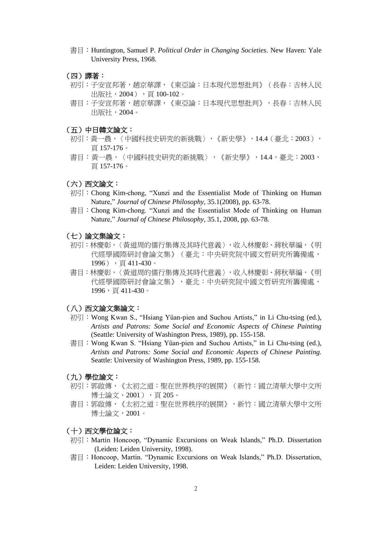- 書目:Huntington, Samuel P. *Political Order in Changing Societies*. New Haven: Yale University Press, 1968.
- (四)譯著:
- 初引:子安宣邦著,趙京華譯,《東亞論:日本現代思想批判》(長春:吉林人民 出版社, 2004), 頁 100-102。
- 書目:子安宣邦著,趙京華譯,《東亞論:日本現代思想批判》,長春:吉林人民 出版社,2004。
- (五)中日韓文論文:
- 初引:黃一農,〈中國科技史研究的新挑戰〉,《新史學》,14.4(臺北:2003), 頁 157-176。
- 書目:黃一農,〈中國科技史研究的新挑戰〉,《新史學》,14.4,臺北:2003, 頁 157-176。

## (六)西文論文:

- 初引:Chong Kim-chong, "Xunzi and the Essentialist Mode of Thinking on Human Nature," *Journal of Chinese Philosophy*, 35.1(2008), pp. 63-78.
- 書目: Chong Kim-chong. "Xunzi and the Essentialist Mode of Thinking on Human Nature," *Journal of Chinese Philosophy*, 35.1, 2008, pp. 63-78.
- (七)論文集論文:
- 初引:林慶彰,〈黃道周的儒行集傳及其時代意義〉,收入林慶彰、蔣秋華編,《明 代經學國際研討會論文集》(臺北:中央研究院中國文哲研究所籌備處, 1996),頁 411-430。
- 書目:林慶彰,〈黃道周的儒行集傳及其時代意義〉,收入林慶彰、蔣秋華編,《明 代經學國際研討會論文集》,臺北:中央研究院中國文哲研究所籌備處, 1996,頁411-430。

#### (八)西文論文集論文:

- 初引:Wong Kwan S., "Hsiang Yüan-pien and Suchou Artists," in Li Chu-tsing (ed.), *Artists and Patrons: Some Social and Economic Aspects of Chinese Painting* (Seattle: University of Washington Press, 1989), pp. 155-158.
- 書目: Wong Kwan S. "Hsiang Yüan-pien and Suchou Artists," in Li Chu-tsing (ed.), *Artists and Patrons: Some Social and Economic Aspects of Chinese Painting.*  Seattle: University of Washington Press, 1989, pp. 155-158.
- (九)學位論文:
- 初引:郭啟傳,《太初之道:聖在世界秩序的展開》(新竹:國立清華大學中文所 博士論文, 2001), 百205。
- 書目:郭啟傳,《太初之道:聖在世界秩序的展開》,新竹:國立清華大學中文所 博士論文,2001。

## (十)西文學位論文:

- 初引: Martin Honcoop, "Dynamic Excursions on Weak Islands," Ph.D. Dissertation (Leiden: Leiden University, 1998).
- 書目: Honcoop, Martin. "Dynamic Excursions on Weak Islands," Ph.D. Dissertation, Leiden: Leiden University, 1998.